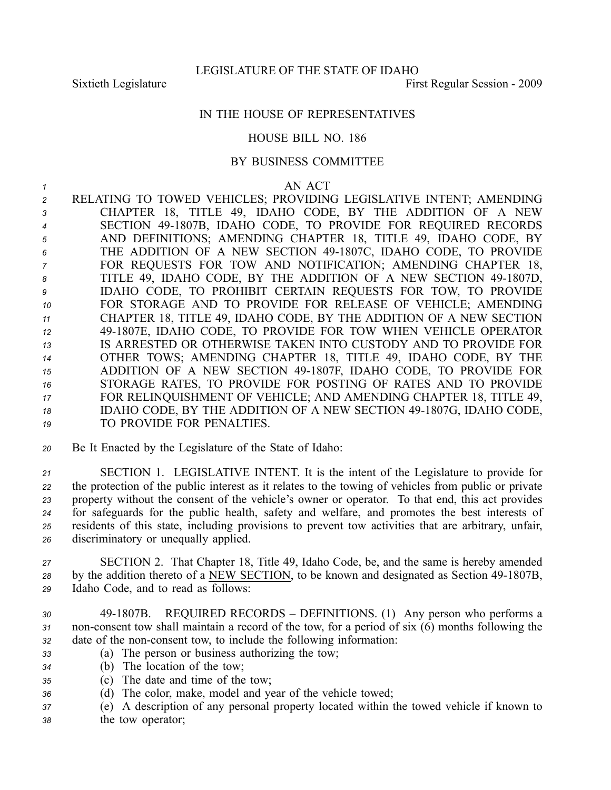## IN THE HOUSE OF REPRESENTATIVES

## HOUSE BILL NO. 186

## BY BUSINESS COMMITTEE

*<sup>1</sup>* AN ACT

 RELATING TO TOWED VEHICLES; PROVIDING LEGISLATIVE INTENT; AMENDING CHAPTER 18, TITLE 49, IDAHO CODE, BY THE ADDITION OF A NEW SECTION 491807B, IDAHO CODE, TO PROVIDE FOR REQUIRED RECORDS AND DEFINITIONS; AMENDING CHAPTER 18, TITLE 49, IDAHO CODE, BY THE ADDITION OF A NEW SECTION 491807C, IDAHO CODE, TO PROVIDE FOR REQUESTS FOR TOW AND NOTIFICATION; AMENDING CHAPTER 18, 8 TITLE 49, IDAHO CODE, BY THE ADDITION OF A NEW SECTION 49-1807D, IDAHO CODE, TO PROHIBIT CERTAIN REQUESTS FOR TOW, TO PROVIDE FOR STORAGE AND TO PROVIDE FOR RELEASE OF VEHICLE; AMENDING CHAPTER 18, TITLE 49, IDAHO CODE, BY THE ADDITION OF A NEW SECTION 491807E, IDAHO CODE, TO PROVIDE FOR TOW WHEN VEHICLE OPERATOR IS ARRESTED OR OTHERWISE TAKEN INTO CUSTODY AND TO PROVIDE FOR OTHER TOWS; AMENDING CHAPTER 18, TITLE 49, IDAHO CODE, BY THE ADDITION OF A NEW SECTION 491807F, IDAHO CODE, TO PROVIDE FOR STORAGE RATES, TO PROVIDE FOR POSTING OF RATES AND TO PROVIDE FOR RELINQUISHMENT OF VEHICLE; AND AMENDING CHAPTER 18, TITLE 49, 18 IDAHO CODE, BY THE ADDITION OF A NEW SECTION 49-1807G, IDAHO CODE, TO PROVIDE FOR PENALTIES.

*<sup>20</sup>* Be It Enacted by the Legislature of the State of Idaho:

 SECTION 1. LEGISLATIVE INTENT. It is the intent of the Legislature to provide for the protection of the public interest as it relates to the towing of vehicles from public or private property without the consent of the vehicle's owner or operator. To that end, this act provides for safeguards for the public health, safety and welfare, and promotes the best interests of residents of this state, including provisions to preven<sup>t</sup> tow activities that are arbitrary, unfair, discriminatory or unequally applied.

*<sup>27</sup>* SECTION 2. That Chapter 18, Title 49, Idaho Code, be, and the same is hereby amended <sup>28</sup> by the addition thereto of a NEW SECTION, to be known and designated as Section 49-1807B, *<sup>29</sup>* Idaho Code, and to read as follows:

- *<sup>30</sup>* 491807B. REQUIRED RECORDS DEFINITIONS. (1) Any person who performs <sup>a</sup> 31 non-consent tow shall maintain a record of the tow, for a period of six (6) months following the 32 date of the non-consent tow, to include the following information:
- *<sup>33</sup>* (a) The person or business authorizing the tow;
- *<sup>34</sup>* (b) The location of the tow;
- *<sup>35</sup>* (c) The date and time of the tow;
- *<sup>36</sup>* (d) The color, make, model and year of the vehicle towed;
- *<sup>37</sup>* (e) A description of any personal property located within the towed vehicle if known to *<sup>38</sup>* the tow operator;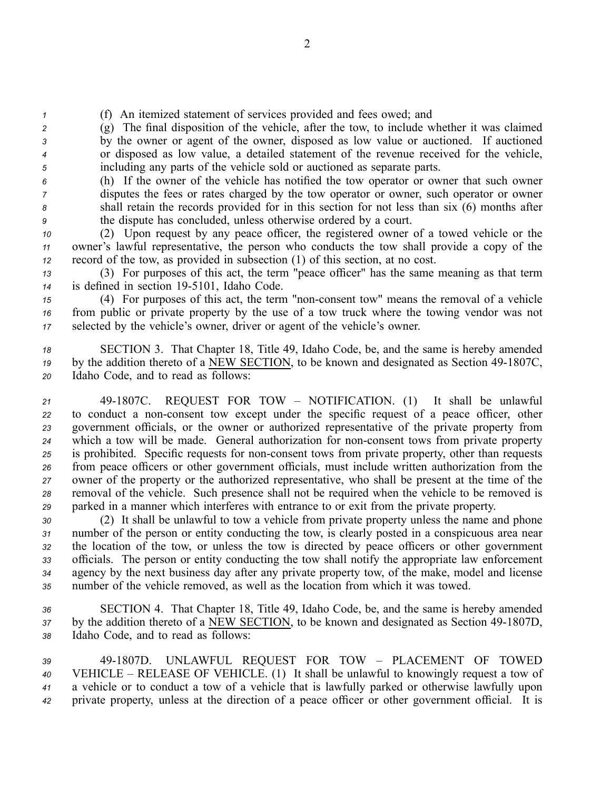*<sup>1</sup>* (f) An itemized statement of services provided and fees owed; and

 (g) The final disposition of the vehicle, after the tow, to include whether it was claimed by the owner or agen<sup>t</sup> of the owner, disposed as low value or auctioned. If auctioned or disposed as low value, <sup>a</sup> detailed statement of the revenue received for the vehicle, including any parts of the vehicle sold or auctioned as separate parts.

 (h) If the owner of the vehicle has notified the tow operator or owner that such owner disputes the fees or rates charged by the tow operator or owner, such operator or owner shall retain the records provided for in this section for not less than six (6) months after the dispute has concluded, unless otherwise ordered by <sup>a</sup> court.

*<sup>10</sup>* (2) Upon reques<sup>t</sup> by any peace officer, the registered owner of <sup>a</sup> towed vehicle or the *<sup>11</sup>* owner's lawful representative, the person who conducts the tow shall provide <sup>a</sup> copy of the *<sup>12</sup>* record of the tow, as provided in subsection (1) of this section, at no cost.

*<sup>13</sup>* (3) For purposes of this act, the term "peace officer" has the same meaning as that term 14 is defined in section 19-5101, Idaho Code.

15 (4) For purposes of this act, the term "non-consent tow" means the removal of a vehicle *<sup>16</sup>* from public or private property by the use of <sup>a</sup> tow truck where the towing vendor was not *<sup>17</sup>* selected by the vehicle's owner, driver or agen<sup>t</sup> of the vehicle's owner.

*<sup>18</sup>* SECTION 3. That Chapter 18, Title 49, Idaho Code, be, and the same is hereby amended <sup>19</sup> by the addition thereto of a NEW SECTION, to be known and designated as Section 49-1807C, *<sup>20</sup>* Idaho Code, and to read as follows:

 491807C. REQUEST FOR TOW – NOTIFICATION. (1) It shall be unlawful 22 to conduct a non-consent tow except under the specific request of a peace officer, other governmen<sup>t</sup> officials, or the owner or authorized representative of the private property from which <sup>a</sup> tow will be made. General authorization for nonconsent tows from private property 25 is prohibited. Specific requests for non-consent tows from private property, other than requests from peace officers or other governmen<sup>t</sup> officials, must include written authorization from the owner of the property or the authorized representative, who shall be presen<sup>t</sup> at the time of the removal of the vehicle. Such presence shall not be required when the vehicle to be removed is parked in <sup>a</sup> manner which interferes with entrance to or exit from the private property.

 (2) It shall be unlawful to tow <sup>a</sup> vehicle from private property unless the name and phone number of the person or entity conducting the tow, is clearly posted in <sup>a</sup> conspicuous area near the location of the tow, or unless the tow is directed by peace officers or other governmen<sup>t</sup> officials. The person or entity conducting the tow shall notify the appropriate law enforcement agency by the next business day after any private property tow, of the make, model and license number of the vehicle removed, as well as the location from which it was towed.

*<sup>36</sup>* SECTION 4. That Chapter 18, Title 49, Idaho Code, be, and the same is hereby amended 37 by the addition thereto of a NEW SECTION, to be known and designated as Section 49-1807D, *<sup>38</sup>* Idaho Code, and to read as follows:

 491807D. UNLAWFUL REQUEST FOR TOW – PLACEMENT OF TOWED VEHICLE – RELEASE OF VEHICLE. (1) It shall be unlawful to knowingly reques<sup>t</sup> <sup>a</sup> tow of <sup>a</sup> vehicle or to conduct <sup>a</sup> tow of <sup>a</sup> vehicle that is lawfully parked or otherwise lawfully upon private property, unless at the direction of <sup>a</sup> peace officer or other governmen<sup>t</sup> official. It is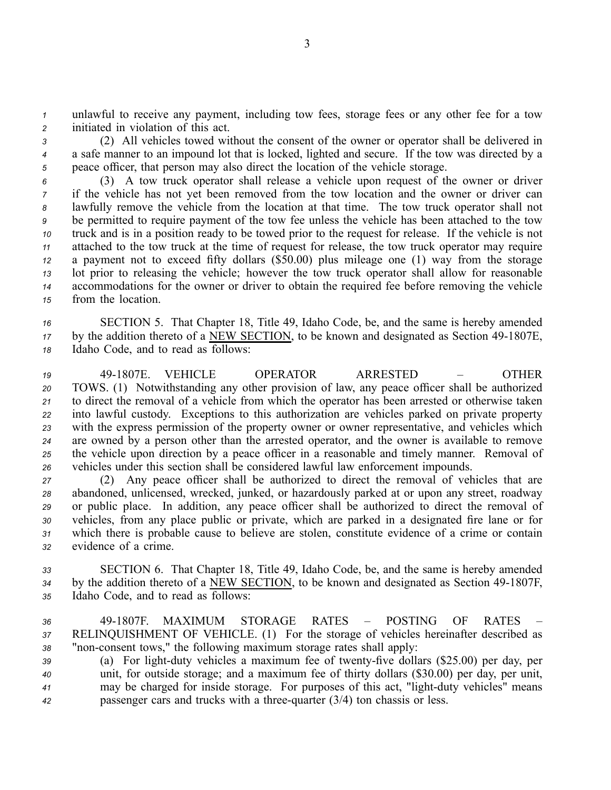*<sup>1</sup>* unlawful to receive any payment, including tow fees, storage fees or any other fee for <sup>a</sup> tow *<sup>2</sup>* initiated in violation of this act.

*<sup>3</sup>* (2) All vehicles towed without the consent of the owner or operator shall be delivered in *<sup>4</sup>* <sup>a</sup> safe manner to an impound lot that is locked, lighted and secure. If the tow was directed by <sup>a</sup> *<sup>5</sup>* peace officer, that person may also direct the location of the vehicle storage.

 (3) A tow truck operator shall release <sup>a</sup> vehicle upon reques<sup>t</sup> of the owner or driver if the vehicle has not ye<sup>t</sup> been removed from the tow location and the owner or driver can lawfully remove the vehicle from the location at that time. The tow truck operator shall not be permitted to require paymen<sup>t</sup> of the tow fee unless the vehicle has been attached to the tow truck and is in <sup>a</sup> position ready to be towed prior to the reques<sup>t</sup> for release. If the vehicle is not attached to the tow truck at the time of reques<sup>t</sup> for release, the tow truck operator may require <sup>a</sup> paymen<sup>t</sup> not to exceed fifty dollars (\$50.00) plus mileage one (1) way from the storage lot prior to releasing the vehicle; however the tow truck operator shall allow for reasonable accommodations for the owner or driver to obtain the required fee before removing the vehicle from the location.

*<sup>16</sup>* SECTION 5. That Chapter 18, Title 49, Idaho Code, be, and the same is hereby amended <sup>17</sup> by the addition thereto of a NEW SECTION, to be known and designated as Section 49-1807E, *<sup>18</sup>* Idaho Code, and to read as follows:

 491807E. VEHICLE OPERATOR ARRESTED – OTHER TOWS. (1) Notwithstanding any other provision of law, any peace officer shall be authorized to direct the removal of <sup>a</sup> vehicle from which the operator has been arrested or otherwise taken into lawful custody. Exceptions to this authorization are vehicles parked on private property with the express permission of the property owner or owner representative, and vehicles which are owned by <sup>a</sup> person other than the arrested operator, and the owner is available to remove the vehicle upon direction by <sup>a</sup> peace officer in <sup>a</sup> reasonable and timely manner. Removal of vehicles under this section shall be considered lawful law enforcement impounds.

 (2) Any peace officer shall be authorized to direct the removal of vehicles that are abandoned, unlicensed, wrecked, junked, or hazardously parked at or upon any street, roadway or public place. In addition, any peace officer shall be authorized to direct the removal of vehicles, from any place public or private, which are parked in <sup>a</sup> designated fire lane or for which there is probable cause to believe are stolen, constitute evidence of <sup>a</sup> crime or contain evidence of <sup>a</sup> crime.

*<sup>33</sup>* SECTION 6. That Chapter 18, Title 49, Idaho Code, be, and the same is hereby amended <sup>34</sup> by the addition thereto of a NEW SECTION, to be known and designated as Section 49-1807F, *<sup>35</sup>* Idaho Code, and to read as follows:

*36* 491807F. MAXIMUM STORAGE RATES – POSTING OF RATES – *<sup>37</sup>* RELINQUISHMENT OF VEHICLE. (1) For the storage of vehicles hereinafter described as 38 "non-consent tows," the following maximum storage rates shall apply:

 (a) For light-duty vehicles a maximum fee of twenty-five dollars (\$25.00) per day, per unit, for outside storage; and <sup>a</sup> maximum fee of thirty dollars (\$30.00) per day, per unit, <sup>41</sup> may be charged for inside storage. For purposes of this act, "light-duty vehicles" means passenger cars and trucks with a three-quarter (3/4) ton chassis or less.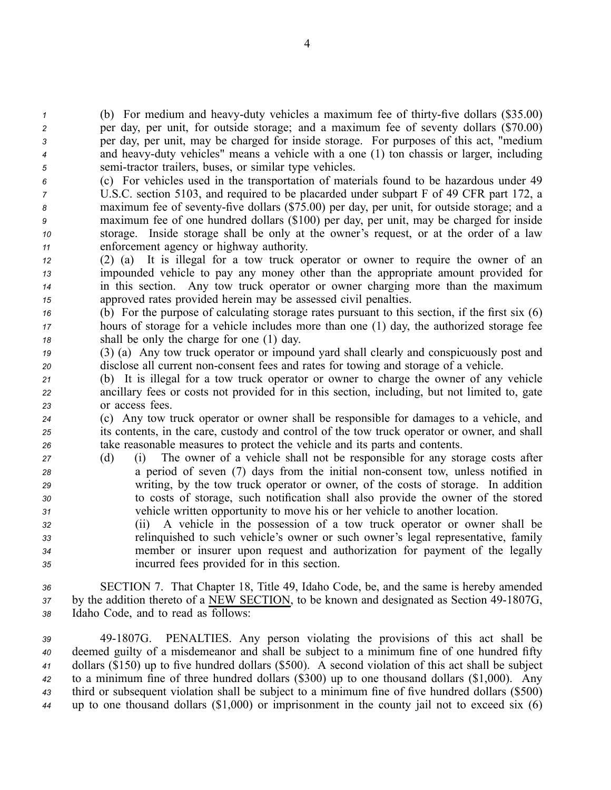(b) For medium and heavy-duty vehicles a maximum fee of thirty-five dollars (\$35.00) per day, per unit, for outside storage; and <sup>a</sup> maximum fee of seventy dollars (\$70.00) per day, per unit, may be charged for inside storage. For purposes of this act, "medium and heavyduty vehicles" means <sup>a</sup> vehicle with <sup>a</sup> one (1) ton chassis or larger, including semi-tractor trailers, buses, or similar type vehicles.

- *<sup>6</sup>* (c) For vehicles used in the transportation of materials found to be hazardous under 49 *<sup>7</sup>* U.S.C. section 5103, and required to be placarded under subpart F of 49 CFR par<sup>t</sup> 172, <sup>a</sup> 8 maximum fee of seventy-five dollars (\$75.00) per day, per unit, for outside storage; and a *<sup>9</sup>* maximum fee of one hundred dollars (\$100) per day, per unit, may be charged for inside *<sup>10</sup>* storage. Inside storage shall be only at the owner's request, or at the order of <sup>a</sup> law *<sup>11</sup>* enforcement agency or highway authority.
- *<sup>12</sup>* (2) (a) It is illegal for <sup>a</sup> tow truck operator or owner to require the owner of an *<sup>13</sup>* impounded vehicle to pay any money other than the appropriate amount provided for *<sup>14</sup>* in this section. Any tow truck operator or owner charging more than the maximum *<sup>15</sup>* approved rates provided herein may be assessed civil penalties.
- *<sup>16</sup>* (b) For the purpose of calculating storage rates pursuan<sup>t</sup> to this section, if the first six (6) *<sup>17</sup>* hours of storage for <sup>a</sup> vehicle includes more than one (1) day, the authorized storage fee *<sup>18</sup>* shall be only the charge for one (1) day.
- *<sup>19</sup>* (3) (a) Any tow truck operator or impound yard shall clearly and conspicuously pos<sup>t</sup> and *20* disclose all current non-consent fees and rates for towing and storage of a vehicle.
- *<sup>21</sup>* (b) It is illegal for <sup>a</sup> tow truck operator or owner to charge the owner of any vehicle *<sup>22</sup>* ancillary fees or costs not provided for in this section, including, but not limited to, gate *<sup>23</sup>* or access fees.

*<sup>24</sup>* (c) Any tow truck operator or owner shall be responsible for damages to <sup>a</sup> vehicle, and *<sup>25</sup>* its contents, in the care, custody and control of the tow truck operator or owner, and shall *<sup>26</sup>* take reasonable measures to protect the vehicle and its parts and contents.

- *<sup>27</sup>* (d) (i) The owner of <sup>a</sup> vehicle shall not be responsible for any storage costs after *<sup>28</sup>* <sup>a</sup> period of seven (7) days from the initial nonconsent tow, unless notified in *<sup>29</sup>* writing, by the tow truck operator or owner, of the costs of storage. In addition *<sup>30</sup>* to costs of storage, such notification shall also provide the owner of the stored *<sup>31</sup>* vehicle written opportunity to move his or her vehicle to another location.
- *<sup>32</sup>* (ii) A vehicle in the possession of <sup>a</sup> tow truck operator or owner shall be *<sup>33</sup>* relinquished to such vehicle's owner or such owner's legal representative, family *<sup>34</sup>* member or insurer upon reques<sup>t</sup> and authorization for paymen<sup>t</sup> of the legally *<sup>35</sup>* incurred fees provided for in this section.

*<sup>36</sup>* SECTION 7. That Chapter 18, Title 49, Idaho Code, be, and the same is hereby amended 37 by the addition thereto of a NEW SECTION, to be known and designated as Section 49-1807G, *<sup>38</sup>* Idaho Code, and to read as follows:

 491807G. PENALTIES. Any person violating the provisions of this act shall be deemed guilty of <sup>a</sup> misdemeanor and shall be subject to <sup>a</sup> minimum fine of one hundred fifty dollars (\$150) up to five hundred dollars (\$500). A second violation of this act shall be subject to <sup>a</sup> minimum fine of three hundred dollars (\$300) up to one thousand dollars (\$1,000). Any third or subsequent violation shall be subject to <sup>a</sup> minimum fine of five hundred dollars (\$500) up to one thousand dollars (\$1,000) or imprisonment in the county jail not to exceed six (6)